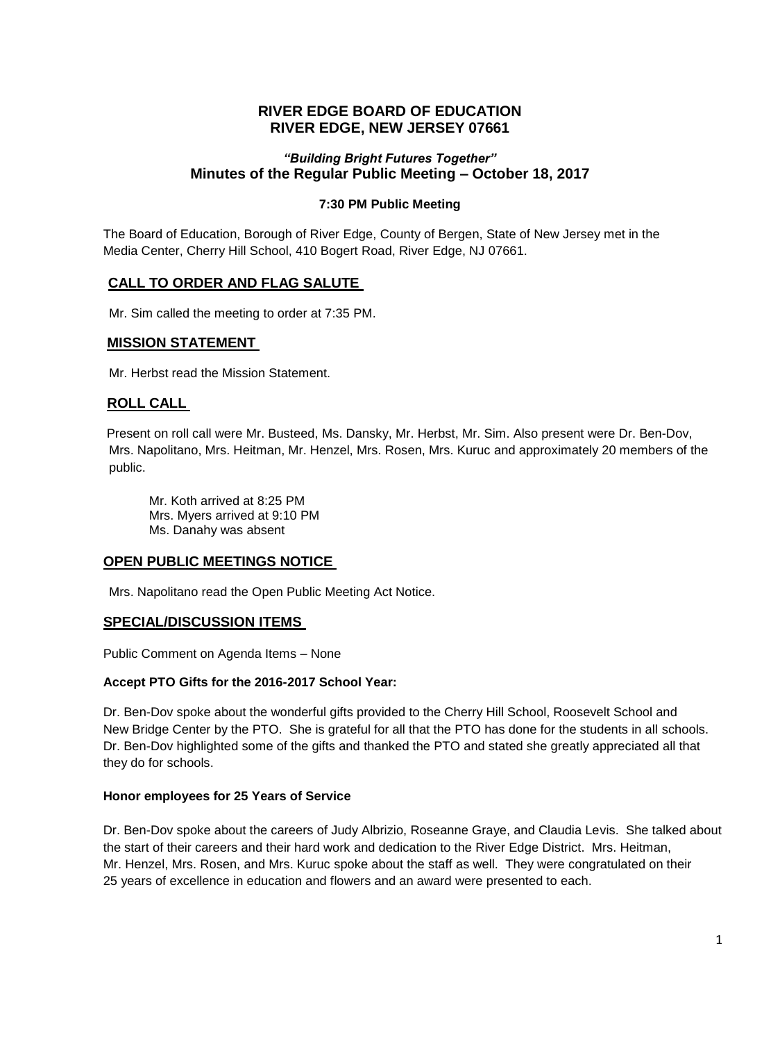# **RIVER EDGE BOARD OF EDUCATION RIVER EDGE, NEW JERSEY 07661**

# *"Building Bright Futures Together"* **Minutes of the Regular Public Meeting – October 18, 2017**

## **7:30 PM Public Meeting**

The Board of Education, Borough of River Edge, County of Bergen, State of New Jersey met in the Media Center, Cherry Hill School, 410 Bogert Road, River Edge, NJ 07661.

# **CALL TO ORDER AND FLAG SALUTE**

Mr. Sim called the meeting to order at 7:35 PM.

## **MISSION STATEMENT**

Mr. Herbst read the Mission Statement.

# **ROLL CALL**

Present on roll call were Mr. Busteed, Ms. Dansky, Mr. Herbst, Mr. Sim. Also present were Dr. Ben-Dov, Mrs. Napolitano, Mrs. Heitman, Mr. Henzel, Mrs. Rosen, Mrs. Kuruc and approximately 20 members of the public.

Mr. Koth arrived at 8:25 PM Mrs. Myers arrived at 9:10 PM Ms. Danahy was absent

#### **OPEN PUBLIC MEETINGS NOTICE**

Mrs. Napolitano read the Open Public Meeting Act Notice.

#### **SPECIAL/DISCUSSION ITEMS**

Public Comment on Agenda Items – None

#### **Accept PTO Gifts for the 2016-2017 School Year:**

Dr. Ben-Dov spoke about the wonderful gifts provided to the Cherry Hill School, Roosevelt School and New Bridge Center by the PTO. She is grateful for all that the PTO has done for the students in all schools. Dr. Ben-Dov highlighted some of the gifts and thanked the PTO and stated she greatly appreciated all that they do for schools.

#### **Honor employees for 25 Years of Service**

Dr. Ben-Dov spoke about the careers of Judy Albrizio, Roseanne Graye, and Claudia Levis. She talked about the start of their careers and their hard work and dedication to the River Edge District. Mrs. Heitman, Mr. Henzel, Mrs. Rosen, and Mrs. Kuruc spoke about the staff as well. They were congratulated on their 25 years of excellence in education and flowers and an award were presented to each.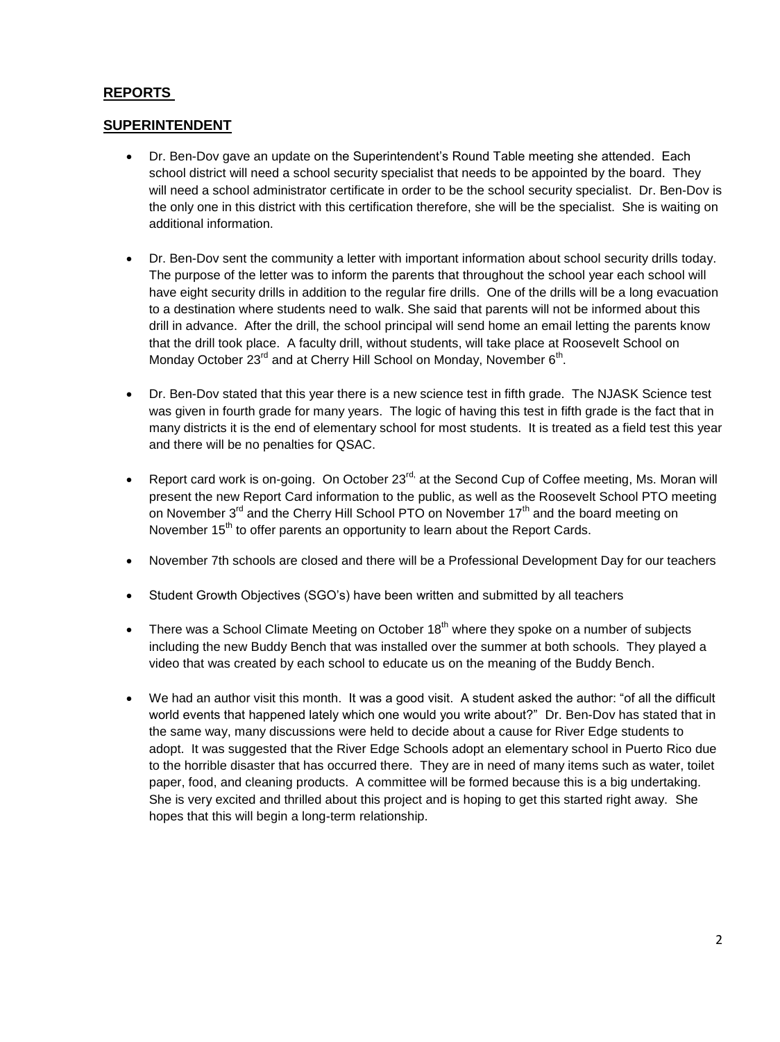# **REPORTS**

# **SUPERINTENDENT**

- Dr. Ben-Dov gave an update on the Superintendent's Round Table meeting she attended. Each school district will need a school security specialist that needs to be appointed by the board. They will need a school administrator certificate in order to be the school security specialist. Dr. Ben-Dov is the only one in this district with this certification therefore, she will be the specialist. She is waiting on additional information.
- Dr. Ben-Dov sent the community a letter with important information about school security drills today. The purpose of the letter was to inform the parents that throughout the school year each school will have eight security drills in addition to the regular fire drills. One of the drills will be a long evacuation to a destination where students need to walk. She said that parents will not be informed about this drill in advance. After the drill, the school principal will send home an email letting the parents know that the drill took place. A faculty drill, without students, will take place at Roosevelt School on Monday October 23<sup>rd</sup> and at Cherry Hill School on Monday, November 6<sup>th</sup>.
- Dr. Ben-Dov stated that this year there is a new science test in fifth grade. The NJASK Science test was given in fourth grade for many years. The logic of having this test in fifth grade is the fact that in many districts it is the end of elementary school for most students. It is treated as a field test this year and there will be no penalties for QSAC.
- Report card work is on-going. On October 23 $^{rd}$  at the Second Cup of Coffee meeting, Ms. Moran will present the new Report Card information to the public, as well as the Roosevelt School PTO meeting on November  $3<sup>rd</sup>$  and the Cherry Hill School PTO on November 17 $<sup>th</sup>$  and the board meeting on</sup> November 15<sup>th</sup> to offer parents an opportunity to learn about the Report Cards.
- November 7th schools are closed and there will be a Professional Development Day for our teachers
- Student Growth Objectives (SGO's) have been written and submitted by all teachers
- There was a School Climate Meeting on October  $18<sup>th</sup>$  where they spoke on a number of subjects including the new Buddy Bench that was installed over the summer at both schools. They played a video that was created by each school to educate us on the meaning of the Buddy Bench.
- We had an author visit this month. It was a good visit. A student asked the author: "of all the difficult world events that happened lately which one would you write about?" Dr. Ben-Dov has stated that in the same way, many discussions were held to decide about a cause for River Edge students to adopt. It was suggested that the River Edge Schools adopt an elementary school in Puerto Rico due to the horrible disaster that has occurred there. They are in need of many items such as water, toilet paper, food, and cleaning products. A committee will be formed because this is a big undertaking. She is very excited and thrilled about this project and is hoping to get this started right away. She hopes that this will begin a long-term relationship.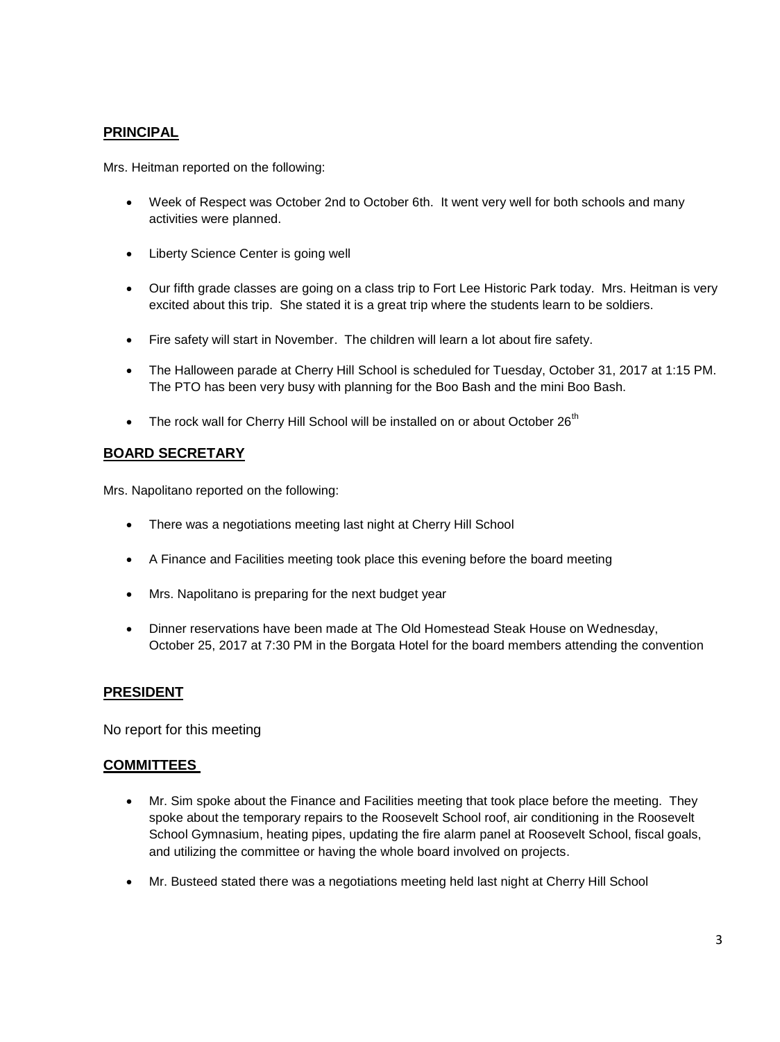# **PRINCIPAL**

Mrs. Heitman reported on the following:

- Week of Respect was October 2nd to October 6th. It went very well for both schools and many activities were planned.
- Liberty Science Center is going well
- Our fifth grade classes are going on a class trip to Fort Lee Historic Park today. Mrs. Heitman is very excited about this trip. She stated it is a great trip where the students learn to be soldiers.
- Fire safety will start in November. The children will learn a lot about fire safety.
- The Halloween parade at Cherry Hill School is scheduled for Tuesday, October 31, 2017 at 1:15 PM. The PTO has been very busy with planning for the Boo Bash and the mini Boo Bash.
- $\bullet$  The rock wall for Cherry Hill School will be installed on or about October 26<sup>th</sup>

# **BOARD SECRETARY**

Mrs. Napolitano reported on the following:

- There was a negotiations meeting last night at Cherry Hill School
- A Finance and Facilities meeting took place this evening before the board meeting
- Mrs. Napolitano is preparing for the next budget year
- Dinner reservations have been made at The Old Homestead Steak House on Wednesday, October 25, 2017 at 7:30 PM in the Borgata Hotel for the board members attending the convention

# **PRESIDENT**

No report for this meeting

# **COMMITTEES**

- Mr. Sim spoke about the Finance and Facilities meeting that took place before the meeting. They spoke about the temporary repairs to the Roosevelt School roof, air conditioning in the Roosevelt School Gymnasium, heating pipes, updating the fire alarm panel at Roosevelt School, fiscal goals, and utilizing the committee or having the whole board involved on projects.
- Mr. Busteed stated there was a negotiations meeting held last night at Cherry Hill School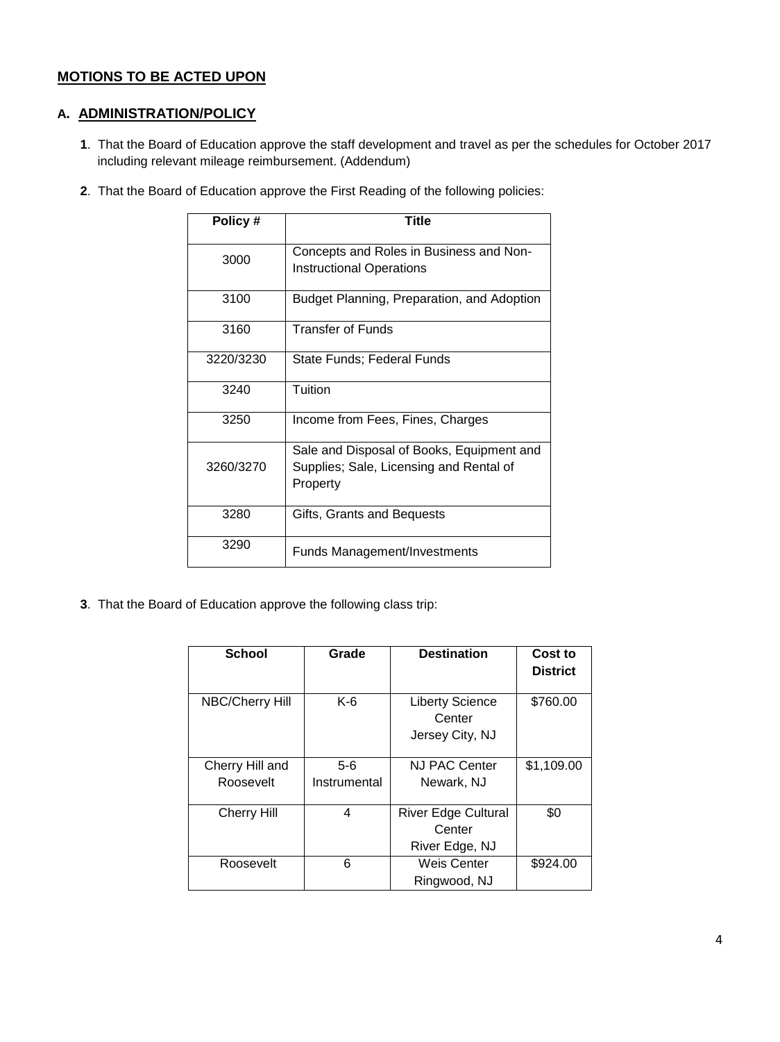# **MOTIONS TO BE ACTED UPON**

# **A. ADMINISTRATION/POLICY**

- **1**. That the Board of Education approve the staff development and travel as per the schedules for October 2017 including relevant mileage reimbursement. (Addendum)
- **2**. That the Board of Education approve the First Reading of the following policies:

| Policy#   | Title                                                                                            |
|-----------|--------------------------------------------------------------------------------------------------|
| 3000      | Concepts and Roles in Business and Non-<br><b>Instructional Operations</b>                       |
| 3100      | Budget Planning, Preparation, and Adoption                                                       |
| 3160      | <b>Transfer of Funds</b>                                                                         |
| 3220/3230 | State Funds; Federal Funds                                                                       |
| 3240      | Tuition                                                                                          |
| 3250      | Income from Fees, Fines, Charges                                                                 |
| 3260/3270 | Sale and Disposal of Books, Equipment and<br>Supplies; Sale, Licensing and Rental of<br>Property |
| 3280      | Gifts, Grants and Bequests                                                                       |
| 3290      | <b>Funds Management/Investments</b>                                                              |

**3**. That the Board of Education approve the following class trip:

| <b>School</b>          | Grade        | <b>Destination</b>               | Cost to<br><b>District</b> |
|------------------------|--------------|----------------------------------|----------------------------|
|                        |              |                                  |                            |
| <b>NBC/Cherry Hill</b> | $K-6$        | <b>Liberty Science</b><br>Center | \$760.00                   |
|                        |              | Jersey City, NJ                  |                            |
|                        |              |                                  |                            |
| Cherry Hill and        | $5-6$        | NJ PAC Center                    | \$1,109.00                 |
| Roosevelt              | Instrumental | Newark, NJ                       |                            |
|                        |              |                                  |                            |
| <b>Cherry Hill</b>     | 4            | <b>River Edge Cultural</b>       | \$0                        |
|                        |              | Center                           |                            |
|                        |              | River Edge, NJ                   |                            |
| Roosevelt              | 6            | <b>Weis Center</b>               | \$924.00                   |
|                        |              | Ringwood, NJ                     |                            |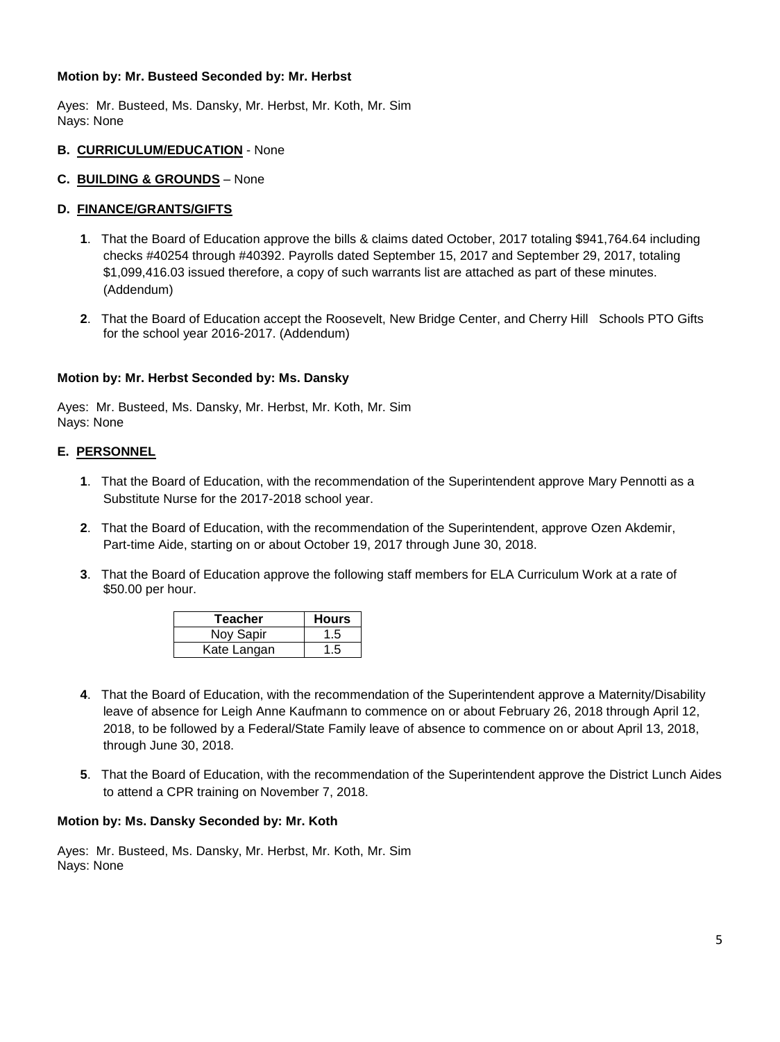#### **Motion by: Mr. Busteed Seconded by: Mr. Herbst**

Ayes: Mr. Busteed, Ms. Dansky, Mr. Herbst, Mr. Koth, Mr. Sim Nays: None

#### **B. CURRICULUM/EDUCATION** - None

## **C. BUILDING & GROUNDS** – None

## **D. FINANCE/GRANTS/GIFTS**

- **1**. That the Board of Education approve the bills & claims dated October, 2017 totaling \$941,764.64 including checks #40254 through #40392. Payrolls dated September 15, 2017 and September 29, 2017, totaling \$1,099,416.03 issued therefore, a copy of such warrants list are attached as part of these minutes. (Addendum)
- **2**. That the Board of Education accept the Roosevelt, New Bridge Center, and Cherry Hill Schools PTO Gifts for the school year 2016-2017. (Addendum)

## **Motion by: Mr. Herbst Seconded by: Ms. Dansky**

Ayes: Mr. Busteed, Ms. Dansky, Mr. Herbst, Mr. Koth, Mr. Sim Nays: None

#### **E. PERSONNEL**

- **1**. That the Board of Education, with the recommendation of the Superintendent approve Mary Pennotti as a Substitute Nurse for the 2017-2018 school year.
- **2**. That the Board of Education, with the recommendation of the Superintendent, approve Ozen Akdemir, Part-time Aide, starting on or about October 19, 2017 through June 30, 2018.
- **3**. That the Board of Education approve the following staff members for ELA Curriculum Work at a rate of \$50.00 per hour.

| <b>Teacher</b> | <b>Hours</b> |
|----------------|--------------|
| Noy Sapir      | 1.5          |
| Kate Langan    | 1.5          |

- **4**. That the Board of Education, with the recommendation of the Superintendent approve a Maternity/Disability leave of absence for Leigh Anne Kaufmann to commence on or about February 26, 2018 through April 12, 2018, to be followed by a Federal/State Family leave of absence to commence on or about April 13, 2018, through June 30, 2018.
- **5**. That the Board of Education, with the recommendation of the Superintendent approve the District Lunch Aides to attend a CPR training on November 7, 2018.

#### **Motion by: Ms. Dansky Seconded by: Mr. Koth**

Ayes: Mr. Busteed, Ms. Dansky, Mr. Herbst, Mr. Koth, Mr. Sim Nays: None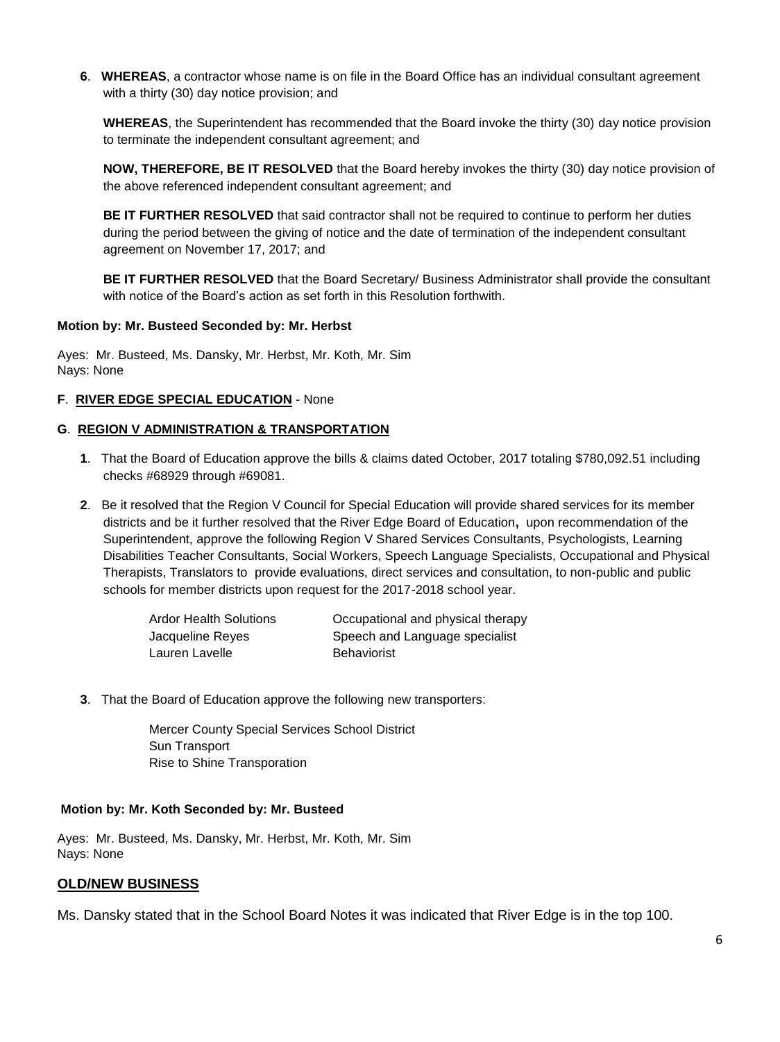**6**. **WHEREAS**, a contractor whose name is on file in the Board Office has an individual consultant agreement with a thirty (30) day notice provision; and

**WHEREAS**, the Superintendent has recommended that the Board invoke the thirty (30) day notice provision to terminate the independent consultant agreement; and

**NOW, THEREFORE, BE IT RESOLVED** that the Board hereby invokes the thirty (30) day notice provision of the above referenced independent consultant agreement; and

**BE IT FURTHER RESOLVED** that said contractor shall not be required to continue to perform her duties during the period between the giving of notice and the date of termination of the independent consultant agreement on November 17, 2017; and

**BE IT FURTHER RESOLVED** that the Board Secretary/ Business Administrator shall provide the consultant with notice of the Board's action as set forth in this Resolution forthwith.

#### **Motion by: Mr. Busteed Seconded by: Mr. Herbst**

Ayes: Mr. Busteed, Ms. Dansky, Mr. Herbst, Mr. Koth, Mr. Sim Nays: None

## **F**. **RIVER EDGE SPECIAL EDUCATION** - None

## **G**. **REGION V ADMINISTRATION & TRANSPORTATION**

- **1**. That the Board of Education approve the bills & claims dated October, 2017 totaling \$780,092.51 including checks #68929 through #69081.
- **2**. Be it resolved that the Region V Council for Special Education will provide shared services for its member districts and be it further resolved that the River Edge Board of Education**,** upon recommendation of the Superintendent, approve the following Region V Shared Services Consultants, Psychologists, Learning Disabilities Teacher Consultants, Social Workers, Speech Language Specialists, Occupational and Physical Therapists, Translators to provide evaluations, direct services and consultation, to non-public and public schools for member districts upon request for the 2017-2018 school year.

| <b>Ardor Health Solutions</b> | Occupational and physical therapy |
|-------------------------------|-----------------------------------|
| Jacqueline Reyes              | Speech and Language specialist    |
| Lauren Lavelle                | <b>Behaviorist</b>                |

**3**.That the Board of Education approve the following new transporters:

Mercer County Special Services School District Sun Transport Rise to Shine Transporation

#### **Motion by: Mr. Koth Seconded by: Mr. Busteed**

Ayes: Mr. Busteed, Ms. Dansky, Mr. Herbst, Mr. Koth, Mr. Sim Nays: None

# **OLD/NEW BUSINESS**

Ms. Dansky stated that in the School Board Notes it was indicated that River Edge is in the top 100.